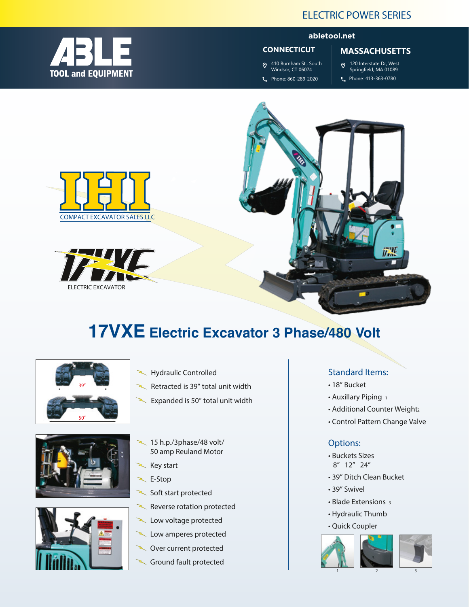

### **abletool.net**

#### **CONNECTICUT**

410 Burnham St., South Windsor, CT 06074 Phone: 860-289-2020

# **MASSACHUSETTS**

- 120 Interstate Dr, West Springfield, MA 01089
- Phone: 413-363-0780



# **17VXE Electric Excavator 3 Phase/480 Volt**



- **Hydraulic Controlled**
- **Retracted is 39" total unit width**
- Expanded is 50" total unit width





- **15 h.p./3phase/48 volt/ 50 amp Reuland Motor**
- **Key start**
- **E-Stop**
- Soft start protected
- **Reverse rotation protected**
- **Low voltage protected**
- **Low amperes protected**
- **Over current protected**
- **Ground fault protected**

# **Standard Items:**

- **18" Bucket**
- **Auxillary Piping** <sup>1</sup>
- **Additional Counter Weight** <sup>2</sup>
- **Control Pattern Change Valve**

#### **Options:**

- **Buckets Sizes 8" 12" 24"**
- **39" Ditch Clean Bucket**
- **39" Swivel**
- **Blade Extensions** <sup>3</sup>
- **Hydraulic Thumb**
- **Quick Coupler**